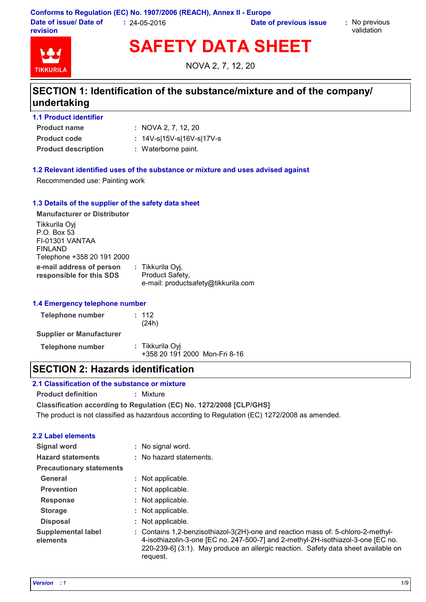**Conforms to Regulation (EC) No. 1907/2006 (REACH), Annex II - Europe Date of issue/ Date of revision :** 24-05-2016 **Date of previous issue :** No previous

validation



**SAFETY DATA SHEET**

NOVA 2, 7, 12, 20

# **SECTION 1: Identification of the substance/mixture and of the company/ undertaking**

|  |  | <b>1.1 Product identifier</b> |  |
|--|--|-------------------------------|--|
|--|--|-------------------------------|--|

**Product name**

- NOVA 2, 7, 12, 20 **:**
- **Product code :** 14V-s|15V-s|16V-s|17V-s
- **Product description :** Waterborne paint.

# **1.2 Relevant identified uses of the substance or mixture and uses advised against**

Recommended use: Painting work

# **1.3 Details of the supplier of the safety data sheet**

| <b>Manufacturer or Distributor</b>                                                       |                                                                            |
|------------------------------------------------------------------------------------------|----------------------------------------------------------------------------|
| Tikkurila Oyj<br>P.O. Box 53<br>FI-01301 VANTAA<br>FINLAND<br>Telephone +358 20 191 2000 |                                                                            |
| e-mail address of person<br>responsible for this SDS                                     | : Tikkurila Oyj,<br>Product Safety,<br>e-mail: productsafety@tikkurila.com |

#### **1.4 Emergency telephone number**

| <b>Telephone number</b>         | : 112<br>(24h)                                   |
|---------------------------------|--------------------------------------------------|
| <b>Supplier or Manufacturer</b> |                                                  |
| <b>Telephone number</b>         | : Tikkurila Oyj<br>+358 20 191 2000 Mon-Fri 8-16 |

# **SECTION 2: Hazards identification**

#### **2.1 Classification of the substance or mixture**

**Product definition :** Mixture

**Classification according to Regulation (EC) No. 1272/2008 [CLP/GHS]**

The product is not classified as hazardous according to Regulation (EC) 1272/2008 as amended.

### **2.2 Label elements**

| Signal word                           | : No signal word.                                                                                                                                                                                                                                                      |
|---------------------------------------|------------------------------------------------------------------------------------------------------------------------------------------------------------------------------------------------------------------------------------------------------------------------|
| <b>Hazard statements</b>              | : No hazard statements.                                                                                                                                                                                                                                                |
| <b>Precautionary statements</b>       |                                                                                                                                                                                                                                                                        |
| General                               | : Not applicable.                                                                                                                                                                                                                                                      |
| <b>Prevention</b>                     | : Not applicable.                                                                                                                                                                                                                                                      |
| <b>Response</b>                       | : Not applicable.                                                                                                                                                                                                                                                      |
| <b>Storage</b>                        | : Not applicable.                                                                                                                                                                                                                                                      |
| <b>Disposal</b>                       | : Not applicable.                                                                                                                                                                                                                                                      |
| <b>Supplemental label</b><br>elements | : Contains 1,2-benzisothiazol-3(2H)-one and reaction mass of: 5-chloro-2-methyl-<br>4-isothiazolin-3-one [EC no. 247-500-7] and 2-methyl-2H-isothiazol-3-one [EC no.<br>220-239-6] (3:1). May produce an allergic reaction. Safety data sheet available on<br>request. |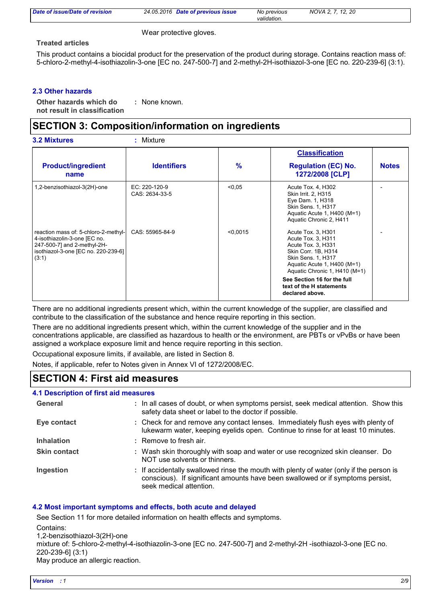| Date of issue/Date of revision | 24.05.2016 Date of previous issue | No previous | NOVA 2, 7, 12, 20 |  |
|--------------------------------|-----------------------------------|-------------|-------------------|--|
|                                |                                   | validation. |                   |  |

Wear protective gloves.

# **Treated articles**

This product contains a biocidal product for the preservation of the product during storage. Contains reaction mass of: 5-chloro-2-methyl-4-isothiazolin-3-one [EC no. 247-500-7] and 2-methyl-2H-isothiazol-3-one [EC no. 220-239-6] (3:1).

# **2.3 Other hazards**

**Other hazards which do : not result in classification** : None known.

# **SECTION 3: Composition/information on ingredients**

| <b>3.2 Mixtures</b>                                                                                                                                 | $:$ Mixture                     |               |                                                                                                                                                                                                                                                           |              |
|-----------------------------------------------------------------------------------------------------------------------------------------------------|---------------------------------|---------------|-----------------------------------------------------------------------------------------------------------------------------------------------------------------------------------------------------------------------------------------------------------|--------------|
|                                                                                                                                                     |                                 |               | <b>Classification</b>                                                                                                                                                                                                                                     |              |
| <b>Product/ingredient</b><br>name                                                                                                                   | <b>Identifiers</b>              | $\frac{9}{6}$ | <b>Regulation (EC) No.</b><br>1272/2008 [CLP]                                                                                                                                                                                                             | <b>Notes</b> |
| 1,2-benzisothiazol-3(2H)-one                                                                                                                        | EC: 220-120-9<br>CAS: 2634-33-5 | < 0.05        | Acute Tox. 4, H302<br>Skin Irrit. 2, H315<br>Eye Dam. 1, H318<br><b>Skin Sens. 1, H317</b><br>Aquatic Acute 1, H400 (M=1)<br>Aquatic Chronic 2, H411                                                                                                      |              |
| reaction mass of: 5-chloro-2-methyl-<br>4-isothiazolin-3-one [EC no.<br>247-500-7] and 2-methyl-2H-<br>isothiazol-3-one [EC no. 220-239-6]<br>(3:1) | CAS: 55965-84-9                 | < 0.0015      | Acute Tox. 3, H301<br>Acute Tox. 3, H311<br>Acute Tox. 3, H331<br>Skin Corr. 1B, H314<br>Skin Sens. 1, H317<br>Aquatic Acute 1, H400 (M=1)<br>Aquatic Chronic 1, H410 (M=1)<br>See Section 16 for the full<br>text of the H statements<br>declared above. |              |

There are no additional ingredients present which, within the current knowledge of the supplier, are classified and contribute to the classification of the substance and hence require reporting in this section.

There are no additional ingredients present which, within the current knowledge of the supplier and in the concentrations applicable, are classified as hazardous to health or the environment, are PBTs or vPvBs or have been assigned a workplace exposure limit and hence require reporting in this section.

Occupational exposure limits, if available, are listed in Section 8.

Notes, if applicable, refer to Notes given in Annex VI of 1272/2008/EC.

# **SECTION 4: First aid measures**

### **4.1 Description of first aid measures**

| General             | : In all cases of doubt, or when symptoms persist, seek medical attention. Show this<br>safety data sheet or label to the doctor if possible.                                                        |
|---------------------|------------------------------------------------------------------------------------------------------------------------------------------------------------------------------------------------------|
| Eye contact         | : Check for and remove any contact lenses. Immediately flush eyes with plenty of<br>lukewarm water, keeping eyelids open. Continue to rinse for at least 10 minutes.                                 |
| <b>Inhalation</b>   | : Remove to fresh air.                                                                                                                                                                               |
| <b>Skin contact</b> | : Wash skin thoroughly with soap and water or use recognized skin cleanser. Do<br>NOT use solvents or thinners.                                                                                      |
| Ingestion           | : If accidentally swallowed rinse the mouth with plenty of water (only if the person is<br>conscious). If significant amounts have been swallowed or if symptoms persist,<br>seek medical attention. |

# **4.2 Most important symptoms and effects, both acute and delayed**

See Section 11 for more detailed information on health effects and symptoms. Contains:

1,2-benzisothiazol-3(2H)-one

mixture of: 5-chloro-2-methyl-4-isothiazolin-3-one [EC no. 247-500-7] and 2-methyl-2H -isothiazol-3-one [EC no. 220-239-6] (3:1)

May produce an allergic reaction.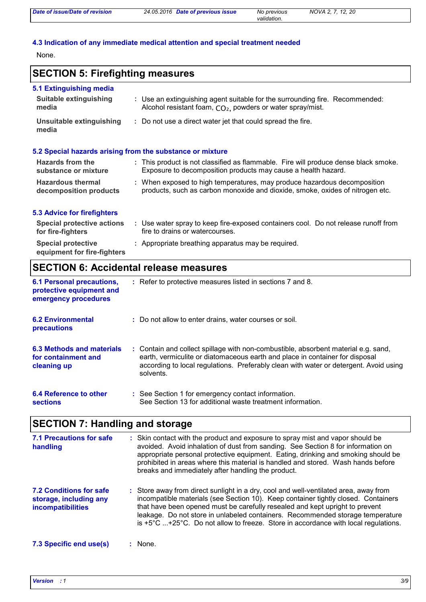| Date of issue/Date of revision | 24.05.2016 Date of previous issue | No previous | NOVA 2, 7, 12, 20 |  |
|--------------------------------|-----------------------------------|-------------|-------------------|--|
|                                |                                   | validation. |                   |  |

# **4.3 Indication of any immediate medical attention and special treatment needed**

None.

# **SECTION 5: Firefighting measures**

| 5.1 Extinguishing media<br>Suitable extinguishing<br>media | : Use an extinguishing agent suitable for the surrounding fire. Recommended:<br>Alcohol resistant foam, CO <sub>2</sub> , powders or water spray/mist. |
|------------------------------------------------------------|--------------------------------------------------------------------------------------------------------------------------------------------------------|
| Unsuitable extinguishing<br>media                          | : Do not use a direct water jet that could spread the fire.                                                                                            |
|                                                            | 5.2 Special hazards arising from the substance or mixture                                                                                              |

| <b>Hazards from the</b><br>substance or mixture    | : This product is not classified as flammable. Fire will produce dense black smoke.<br>Exposure to decomposition products may cause a health hazard.      |
|----------------------------------------------------|-----------------------------------------------------------------------------------------------------------------------------------------------------------|
| <b>Hazardous thermal</b><br>decomposition products | : When exposed to high temperatures, may produce hazardous decomposition<br>products, such as carbon monoxide and dioxide, smoke, oxides of nitrogen etc. |

# **5.3 Advice for firefighters**

| <b>Special protective actions</b><br>for fire-fighters   | Use water spray to keep fire-exposed containers cool. Do not release runoff from<br>fire to drains or watercourses. |
|----------------------------------------------------------|---------------------------------------------------------------------------------------------------------------------|
| <b>Special protective</b><br>equipment for fire-fighters | : Appropriate breathing apparatus may be required.                                                                  |

# **SECTION 6: Accidental release measures**

| <b>6.1 Personal precautions,</b><br>protective equipment and<br>emergency procedures | : Refer to protective measures listed in sections 7 and 8.                                                                                                                                                                                                               |
|--------------------------------------------------------------------------------------|--------------------------------------------------------------------------------------------------------------------------------------------------------------------------------------------------------------------------------------------------------------------------|
| <b>6.2 Environmental</b><br>precautions                                              | : Do not allow to enter drains, water courses or soil.                                                                                                                                                                                                                   |
| 6.3 Methods and materials<br>for containment and<br>cleaning up                      | : Contain and collect spillage with non-combustible, absorbent material e.g. sand,<br>earth, vermiculite or diatomaceous earth and place in container for disposal<br>according to local regulations. Preferably clean with water or detergent. Avoid using<br>solvents. |
| 6.4 Reference to other<br><b>sections</b>                                            | : See Section 1 for emergency contact information.<br>See Section 13 for additional waste treatment information.                                                                                                                                                         |

# **SECTION 7: Handling and storage**

| 7.1 Precautions for safe<br>handling                                                 | : Skin contact with the product and exposure to spray mist and vapor should be<br>avoided. Avoid inhalation of dust from sanding. See Section 8 for information on<br>appropriate personal protective equipment. Eating, drinking and smoking should be<br>prohibited in areas where this material is handled and stored. Wash hands before<br>breaks and immediately after handling the product.                                                       |
|--------------------------------------------------------------------------------------|---------------------------------------------------------------------------------------------------------------------------------------------------------------------------------------------------------------------------------------------------------------------------------------------------------------------------------------------------------------------------------------------------------------------------------------------------------|
| <b>7.2 Conditions for safe</b><br>storage, including any<br><b>incompatibilities</b> | : Store away from direct sunlight in a dry, cool and well-ventilated area, away from<br>incompatible materials (see Section 10). Keep container tightly closed. Containers<br>that have been opened must be carefully resealed and kept upright to prevent<br>leakage. Do not store in unlabeled containers. Recommended storage temperature<br>is $+5^{\circ}$ C +25 $^{\circ}$ C. Do not allow to freeze. Store in accordance with local regulations. |
| 7.3 Specific end use(s)                                                              | : None.                                                                                                                                                                                                                                                                                                                                                                                                                                                 |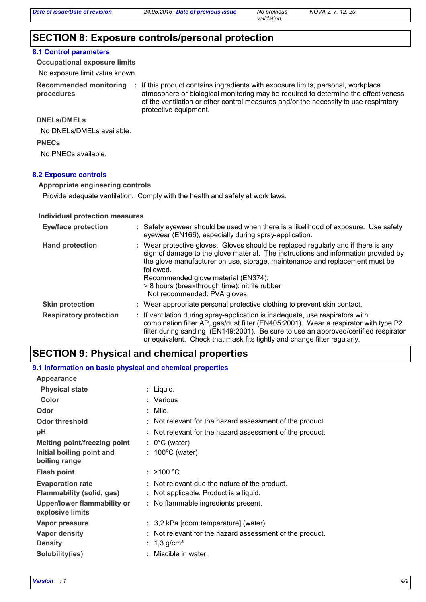*validation.*

# **SECTION 8: Exposure controls/personal protection**

# **8.1 Control parameters**

**Occupational exposure limits**

No exposure limit value known.

**procedures**

Recommended monitoring : If this product contains ingredients with exposure limits, personal, workplace atmosphere or biological monitoring may be required to determine the effectiveness of the ventilation or other control measures and/or the necessity to use respiratory protective equipment.

### **DNELs/DMELs**

No DNELs/DMELs available.

#### **PNECs**

No PNECs available.

### **8.2 Exposure controls**

# **Appropriate engineering controls**

Provide adequate ventilation. Comply with the health and safety at work laws.

### **Individual protection measures**

| <b>Eye/face protection</b>    | : Safety eyewear should be used when there is a likelihood of exposure. Use safety<br>eyewear (EN166), especially during spray-application.                                                                                                                                                                                                                                                |
|-------------------------------|--------------------------------------------------------------------------------------------------------------------------------------------------------------------------------------------------------------------------------------------------------------------------------------------------------------------------------------------------------------------------------------------|
| <b>Hand protection</b>        | : Wear protective gloves. Gloves should be replaced regularly and if there is any<br>sign of damage to the glove material. The instructions and information provided by<br>the glove manufacturer on use, storage, maintenance and replacement must be<br>followed.<br>Recommended glove material (EN374):<br>> 8 hours (breakthrough time): nitrile rubber<br>Not recommended: PVA gloves |
| <b>Skin protection</b>        | : Wear appropriate personal protective clothing to prevent skin contact.                                                                                                                                                                                                                                                                                                                   |
| <b>Respiratory protection</b> | : If ventilation during spray-application is inadequate, use respirators with<br>combination filter AP, gas/dust filter (EN405:2001). Wear a respirator with type P2<br>filter during sanding (EN149:2001). Be sure to use an approved/certified respirator<br>or equivalent. Check that mask fits tightly and change filter regularly.                                                    |

# **SECTION 9: Physical and chemical properties**

### **9.1 Information on basic physical and chemical properties**

| Appearance                                             |    |                                                          |
|--------------------------------------------------------|----|----------------------------------------------------------|
| <b>Physical state</b>                                  |    | : Liquid.                                                |
| Color                                                  |    | : Various                                                |
| Odor                                                   |    | $:$ Mild.                                                |
| <b>Odor threshold</b>                                  |    | : Not relevant for the hazard assessment of the product. |
| pH                                                     |    | : Not relevant for the hazard assessment of the product. |
| <b>Melting point/freezing point</b>                    |    | $: 0^{\circ}$ C (water)                                  |
| Initial boiling point and<br>boiling range             |    | $: 100^{\circ}$ C (water)                                |
| <b>Flash point</b>                                     |    | : $>100 °C$                                              |
| <b>Evaporation rate</b>                                |    | : Not relevant due the nature of the product.            |
| Flammability (solid, gas)                              |    | : Not applicable. Product is a liquid.                   |
| <b>Upper/lower flammability or</b><br>explosive limits |    | : No flammable ingredients present.                      |
| <b>Vapor pressure</b>                                  |    | : 3,2 kPa [room temperature] (water)                     |
| <b>Vapor density</b>                                   |    | Not relevant for the hazard assessment of the product.   |
| <b>Density</b>                                         | ÷. | 1,3 g/cm <sup>3</sup>                                    |
| Solubility(ies)                                        |    | Miscible in water.                                       |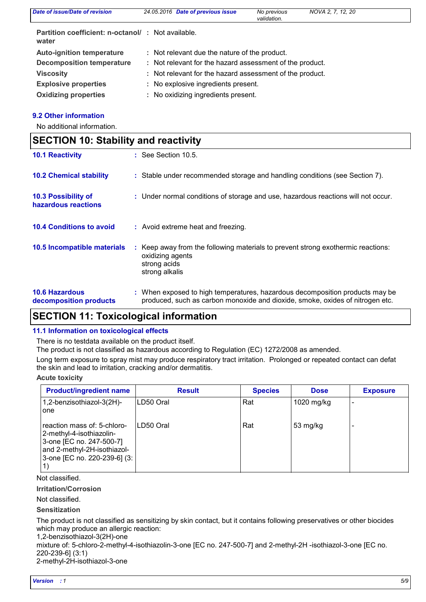| <b>Date of issue/Date of revision</b>                      | 24.05.2016 Date of previous issue                        | No previous<br>validation. | NOVA 2, 7, 12, 20 |
|------------------------------------------------------------|----------------------------------------------------------|----------------------------|-------------------|
| Partition coefficient: n-octanol/: Not available.<br>water |                                                          |                            |                   |
| <b>Auto-ignition temperature</b>                           | : Not relevant due the nature of the product.            |                            |                   |
| <b>Decomposition temperature</b>                           | : Not relevant for the hazard assessment of the product. |                            |                   |
| <b>Viscosity</b>                                           | : Not relevant for the hazard assessment of the product. |                            |                   |
| <b>Explosive properties</b>                                | : No explosive ingredients present.                      |                            |                   |
| <b>Oxidizing properties</b>                                | : No oxidizing ingredients present.                      |                            |                   |

# **9.2 Other information**

No additional information.

|                                                   | <b>SECTION 10: Stability and reactivity</b>                                                                                                                   |  |  |  |
|---------------------------------------------------|---------------------------------------------------------------------------------------------------------------------------------------------------------------|--|--|--|
| <b>10.1 Reactivity</b>                            | $:$ See Section 10.5.                                                                                                                                         |  |  |  |
| <b>10.2 Chemical stability</b>                    | : Stable under recommended storage and handling conditions (see Section 7).                                                                                   |  |  |  |
| <b>10.3 Possibility of</b><br>hazardous reactions | : Under normal conditions of storage and use, hazardous reactions will not occur.                                                                             |  |  |  |
| <b>10.4 Conditions to avoid</b>                   | : Avoid extreme heat and freezing.                                                                                                                            |  |  |  |
| 10.5 Incompatible materials                       | : Keep away from the following materials to prevent strong exothermic reactions:<br>oxidizing agents<br>strong acids<br>strong alkalis                        |  |  |  |
| <b>10.6 Hazardous</b><br>decomposition products   | : When exposed to high temperatures, hazardous decomposition products may be<br>produced, such as carbon monoxide and dioxide, smoke, oxides of nitrogen etc. |  |  |  |

# **SECTION 11: Toxicological information**

# **11.1 Information on toxicological effects**

There is no testdata available on the product itself.

The product is not classified as hazardous according to Regulation (EC) 1272/2008 as amended.

Long term exposure to spray mist may produce respiratory tract irritation. Prolonged or repeated contact can defat the skin and lead to irritation, cracking and/or dermatitis.

# **Acute toxicity**

| <b>Product/ingredient name</b>                                                                                                                     | <b>Result</b> | <b>Species</b> | <b>Dose</b> | <b>Exposure</b> |
|----------------------------------------------------------------------------------------------------------------------------------------------------|---------------|----------------|-------------|-----------------|
| 1,2-benzisothiazol-3(2H)-<br>one                                                                                                                   | ILD50 Oral    | Rat            | 1020 mg/kg  |                 |
| reaction mass of: 5-chloro-<br>2-methyl-4-isothiazolin-<br>3-one [EC no. 247-500-7]<br>and 2-methyl-2H-isothiazol-<br>3-one [EC no. 220-239-6] (3: | ILD50 Oral    | Rat            | 53 mg/kg    |                 |

Not classified.

**Irritation/Corrosion**

Not classified.

# **Sensitization**

The product is not classified as sensitizing by skin contact, but it contains following preservatives or other biocides which may produce an allergic reaction:

1,2-benzisothiazol-3(2H)-one

mixture of: 5-chloro-2-methyl-4-isothiazolin-3-one [EC no. 247-500-7] and 2-methyl-2H -isothiazol-3-one [EC no. 220-239-6] (3:1)

2-methyl-2H-isothiazol-3-one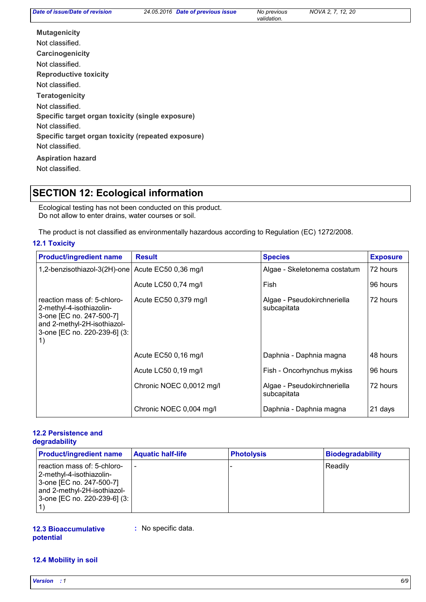| Date of issue/Date of revision                     | 24.05.2016 Date of previous issue | No previous<br>validation. | NOVA 2, 7, 12, 20 |  |
|----------------------------------------------------|-----------------------------------|----------------------------|-------------------|--|
| <b>Mutagenicity</b>                                |                                   |                            |                   |  |
| Not classified.                                    |                                   |                            |                   |  |
| Carcinogenicity                                    |                                   |                            |                   |  |
| Not classified.                                    |                                   |                            |                   |  |
| <b>Reproductive toxicity</b>                       |                                   |                            |                   |  |
| Not classified.                                    |                                   |                            |                   |  |
| <b>Teratogenicity</b>                              |                                   |                            |                   |  |
| Not classified.                                    |                                   |                            |                   |  |
| Specific target organ toxicity (single exposure)   |                                   |                            |                   |  |
| Not classified.                                    |                                   |                            |                   |  |
| Specific target organ toxicity (repeated exposure) |                                   |                            |                   |  |
| Not classified.                                    |                                   |                            |                   |  |
| <b>Aspiration hazard</b>                           |                                   |                            |                   |  |
| Not classified.                                    |                                   |                            |                   |  |
|                                                    |                                   |                            |                   |  |

# **SECTION 12: Ecological information**

Ecological testing has not been conducted on this product. Do not allow to enter drains, water courses or soil.

The product is not classified as environmentally hazardous according to Regulation (EC) 1272/2008.

# **12.1 Toxicity**

| <b>Product/ingredient name</b>                                                                                                                           | <b>Result</b>            | <b>Species</b>                             | <b>Exposure</b> |
|----------------------------------------------------------------------------------------------------------------------------------------------------------|--------------------------|--------------------------------------------|-----------------|
| 1,2-benzisothiazol-3(2H)-one                                                                                                                             | Acute EC50 0,36 mg/l     | Algae - Skeletonema costatum               | 72 hours        |
|                                                                                                                                                          | Acute LC50 0,74 mg/l     | Fish                                       | 96 hours        |
| reaction mass of: 5-chloro-<br>2-methyl-4-isothiazolin-<br>3-one [EC no. 247-500-7]<br>and 2-methyl-2H-isothiazol-<br>3-one [EC no. 220-239-6] (3:<br>1) | Acute EC50 0,379 mg/l    | Algae - Pseudokirchneriella<br>subcapitata | 72 hours        |
|                                                                                                                                                          | Acute EC50 0,16 mg/l     | Daphnia - Daphnia magna                    | 48 hours        |
|                                                                                                                                                          | Acute LC50 0,19 mg/l     | Fish - Oncorhynchus mykiss                 | 96 hours        |
|                                                                                                                                                          | Chronic NOEC 0,0012 mg/l | Algae - Pseudokirchneriella<br>subcapitata | 72 hours        |
|                                                                                                                                                          | Chronic NOEC 0,004 mg/l  | Daphnia - Daphnia magna                    | 21 days         |

### **12.2 Persistence and degradability**

| <b>Product/ingredient name</b>                                                                                                                     | <b>Aquatic half-life</b> | <b>Photolysis</b> | <b>Biodegradability</b> |
|----------------------------------------------------------------------------------------------------------------------------------------------------|--------------------------|-------------------|-------------------------|
| reaction mass of: 5-chloro-<br>2-methyl-4-isothiazolin-<br>3-one [EC no. 247-500-7]<br>and 2-methyl-2H-isothiazol-<br>3-one [EC no. 220-239-6] (3: |                          |                   | Readily                 |

## **12.3 Bioaccumulative potential**

**:** No specific data.

# **12.4 Mobility in soil**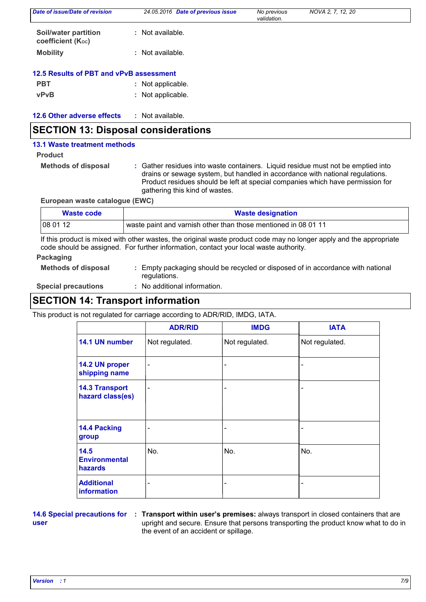| Date of issue/Date of revision                   | 24.05.2016 Date of previous issue | No previous<br>validation. | NOVA 2, 7, 12, 20 |  |
|--------------------------------------------------|-----------------------------------|----------------------------|-------------------|--|
| <b>Soil/water partition</b><br>coefficient (Koc) | Not available.<br>÷.              |                            |                   |  |
| <b>Mobility</b>                                  | Not available.<br>٠               |                            |                   |  |
| 12.5 Results of PBT and vPvB assessment          |                                   |                            |                   |  |
| <b>PBT</b>                                       | Not applicable.<br>÷.             |                            |                   |  |
| <b>vPvB</b>                                      | Not applicable.<br>÷.             |                            |                   |  |
| <b>12.6 Other adverse effects</b>                | : Not available.                  |                            |                   |  |

# **SECTION 13: Disposal considerations**

### **13.1 Waste treatment methods**

# **Product**

**Methods of disposal :**

Gather residues into waste containers. Liquid residue must not be emptied into drains or sewage system, but handled in accordance with national regulations. Product residues should be left at special companies which have permission for gathering this kind of wastes.

# **European waste catalogue (EWC)**

| Waste code | <b>Waste designation</b>                                       |
|------------|----------------------------------------------------------------|
| 08 01 12   | waste paint and varnish other than those mentioned in 08 01 11 |

If this product is mixed with other wastes, the original waste product code may no longer apply and the appropriate code should be assigned. For further information, contact your local waste authority.

# **Packaging**

**Methods of disposal :** Empty packaging should be recycled or disposed of in accordance with national regulations.

**Special precautions :**

: No additional information.

# **SECTION 14: Transport information**

This product is not regulated for carriage according to ADR/RID, IMDG, IATA.

|                                                | <b>ADR/RID</b>               | <b>IMDG</b>              | <b>IATA</b>    |
|------------------------------------------------|------------------------------|--------------------------|----------------|
| 14.1 UN number                                 | Not regulated.               | Not regulated.           | Not regulated. |
| 14.2 UN proper<br>shipping name                | -                            |                          |                |
| <b>14.3 Transport</b><br>hazard class(es)      | $\qquad \qquad \blacksquare$ |                          |                |
| 14.4 Packing<br>group                          |                              | $\overline{\phantom{0}}$ |                |
| 14.5<br><b>Environmental</b><br><b>hazards</b> | No.                          | No.                      | No.            |
| <b>Additional</b><br>information               |                              | $\overline{a}$           |                |

**user**

**14.6 Special precautions for : Transport within user's premises: always transport in closed containers that are** upright and secure. Ensure that persons transporting the product know what to do in the event of an accident or spillage.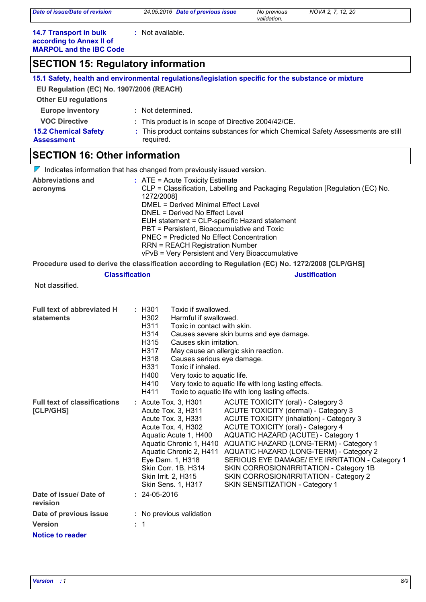| Date of issue/Date of revision                                                              | 24.05.2016 Date of previous issue                                                                   | No previous<br>validation.                                                                                | NOVA 2, 7, 12, 20                                                                  |  |  |
|---------------------------------------------------------------------------------------------|-----------------------------------------------------------------------------------------------------|-----------------------------------------------------------------------------------------------------------|------------------------------------------------------------------------------------|--|--|
| <b>14.7 Transport in bulk</b><br>according to Annex II of<br><b>MARPOL and the IBC Code</b> | : Not available.                                                                                    |                                                                                                           |                                                                                    |  |  |
| <b>SECTION 15: Regulatory information</b>                                                   |                                                                                                     |                                                                                                           |                                                                                    |  |  |
|                                                                                             | 15.1 Safety, health and environmental regulations/legislation specific for the substance or mixture |                                                                                                           |                                                                                    |  |  |
| EU Regulation (EC) No. 1907/2006 (REACH)                                                    |                                                                                                     |                                                                                                           |                                                                                    |  |  |
| <b>Other EU regulations</b>                                                                 |                                                                                                     |                                                                                                           |                                                                                    |  |  |
| <b>Europe inventory</b>                                                                     | : Not determined.                                                                                   |                                                                                                           |                                                                                    |  |  |
| <b>VOC Directive</b>                                                                        | This product is in scope of Directive 2004/42/CE.                                                   |                                                                                                           |                                                                                    |  |  |
| <b>15.2 Chemical Safety</b>                                                                 |                                                                                                     |                                                                                                           | : This product contains substances for which Chemical Safety Assessments are still |  |  |
| Assessment                                                                                  | required.                                                                                           |                                                                                                           |                                                                                    |  |  |
| <b>SECTION 16: Other information</b>                                                        |                                                                                                     |                                                                                                           |                                                                                    |  |  |
|                                                                                             | Indicates information that has changed from previously issued version.                              |                                                                                                           |                                                                                    |  |  |
| <b>Abbreviations and</b>                                                                    | $:$ ATE = Acute Toxicity Estimate                                                                   |                                                                                                           |                                                                                    |  |  |
| acronyms                                                                                    | CLP = Classification, Labelling and Packaging Regulation [Regulation (EC) No.<br>1272/2008]         |                                                                                                           |                                                                                    |  |  |
|                                                                                             | DMEL = Derived Minimal Effect Level                                                                 |                                                                                                           |                                                                                    |  |  |
|                                                                                             | DNEL = Derived No Effect Level                                                                      |                                                                                                           |                                                                                    |  |  |
|                                                                                             | EUH statement = CLP-specific Hazard statement                                                       |                                                                                                           |                                                                                    |  |  |
|                                                                                             | PBT = Persistent, Bioaccumulative and Toxic<br><b>PNEC = Predicted No Effect Concentration</b>      |                                                                                                           |                                                                                    |  |  |
|                                                                                             | <b>RRN = REACH Registration Number</b>                                                              |                                                                                                           |                                                                                    |  |  |
|                                                                                             | vPvB = Very Persistent and Very Bioaccumulative                                                     |                                                                                                           |                                                                                    |  |  |
|                                                                                             | Procedure used to derive the classification according to Regulation (EC) No. 1272/2008 [CLP/GHS]    |                                                                                                           |                                                                                    |  |  |
|                                                                                             | <b>Classification</b>                                                                               |                                                                                                           | <b>Justification</b>                                                               |  |  |
| Not classified.                                                                             |                                                                                                     |                                                                                                           |                                                                                    |  |  |
| Full text of abbreviated H                                                                  | : H301<br>Toxic if swallowed.                                                                       |                                                                                                           |                                                                                    |  |  |
| statements                                                                                  | H302<br>Harmful if swallowed.                                                                       |                                                                                                           |                                                                                    |  |  |
|                                                                                             | H311<br>Toxic in contact with skin.                                                                 |                                                                                                           |                                                                                    |  |  |
|                                                                                             | H314                                                                                                | Causes severe skin burns and eye damage.                                                                  |                                                                                    |  |  |
|                                                                                             | H315<br>Causes skin irritation.<br>H317                                                             | May cause an allergic skin reaction.                                                                      |                                                                                    |  |  |
|                                                                                             | H318<br>Causes serious eye damage.                                                                  |                                                                                                           |                                                                                    |  |  |
|                                                                                             | H331<br>Toxic if inhaled.                                                                           |                                                                                                           |                                                                                    |  |  |
|                                                                                             | H400<br>Very toxic to aquatic life.                                                                 |                                                                                                           |                                                                                    |  |  |
|                                                                                             | H410<br>H411                                                                                        | Very toxic to aquatic life with long lasting effects.<br>Toxic to aquatic life with long lasting effects. |                                                                                    |  |  |
| <b>Full text of classifications</b>                                                         | : Acute Tox. 3, H301                                                                                | <b>ACUTE TOXICITY (oral) - Category 3</b>                                                                 |                                                                                    |  |  |
| [CLP/GHS]                                                                                   | Acute Tox. 3, H311                                                                                  | ACUTE TOXICITY (dermal) - Category 3                                                                      |                                                                                    |  |  |
|                                                                                             | Acute Tox. 3, H331                                                                                  | <b>ACUTE TOXICITY (inhalation) - Category 3</b>                                                           |                                                                                    |  |  |
|                                                                                             | Acute Tox. 4, H302                                                                                  | <b>ACUTE TOXICITY (oral) - Category 4</b>                                                                 |                                                                                    |  |  |
|                                                                                             | Aquatic Acute 1, H400<br>Aquatic Chronic 1, H410                                                    | AQUATIC HAZARD (ACUTE) - Category 1                                                                       | AQUATIC HAZARD (LONG-TERM) - Category 1                                            |  |  |
|                                                                                             | Aquatic Chronic 2, H411                                                                             |                                                                                                           | AQUATIC HAZARD (LONG-TERM) - Category 2                                            |  |  |
|                                                                                             | Eye Dam. 1, H318                                                                                    |                                                                                                           | SERIOUS EYE DAMAGE/ EYE IRRITATION - Category 1                                    |  |  |
|                                                                                             | Skin Corr. 1B, H314                                                                                 |                                                                                                           | SKIN CORROSION/IRRITATION - Category 1B                                            |  |  |
|                                                                                             | Skin Irrit. 2, H315                                                                                 | SKIN CORROSION/IRRITATION - Category 2                                                                    |                                                                                    |  |  |
| Date of issue/Date of                                                                       | Skin Sens. 1, H317<br>$: 24-05-2016$                                                                | SKIN SENSITIZATION - Category 1                                                                           |                                                                                    |  |  |
| revision                                                                                    |                                                                                                     |                                                                                                           |                                                                                    |  |  |
|                                                                                             |                                                                                                     |                                                                                                           |                                                                                    |  |  |
| Date of previous issue                                                                      | : No previous validation                                                                            |                                                                                                           |                                                                                    |  |  |
| <b>Version</b>                                                                              | $\therefore$ 1                                                                                      |                                                                                                           |                                                                                    |  |  |